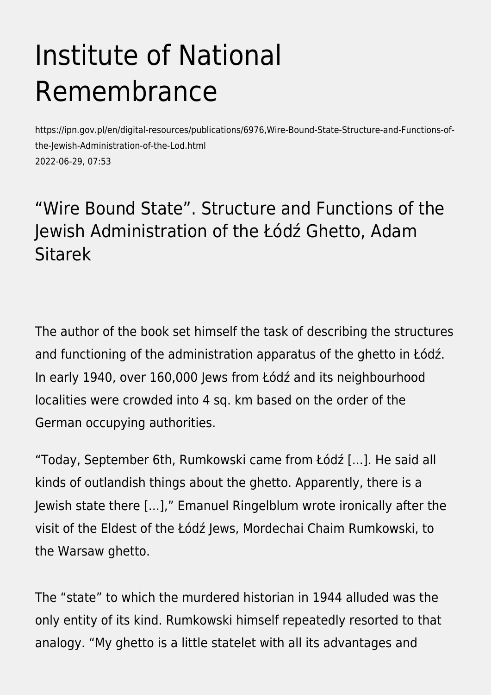## Institute of National Remembrance

https://ipn.gov.pl/en/digital-resources/publications/6976,Wire-Bound-State-Structure-and-Functions-ofthe-Jewish-Administration-of-the-Lod.html 2022-06-29, 07:53

## "Wire Bound State". Structure and Functions of the Jewish Administration of the Łódź Ghetto, Adam Sitarek

The author of the book set himself the task of describing the structures and functioning of the administration apparatus of the ghetto in Łódź. In early 1940, over 160,000 Jews from Łódź and its neighbourhood localities were crowded into 4 sq. km based on the order of the German occupying authorities.

"Today, September 6th, Rumkowski came from Łódź [...]. He said all kinds of outlandish things about the ghetto. Apparently, there is a Jewish state there [...]," Emanuel Ringelblum wrote ironically after the visit of the Eldest of the Łódź Jews, Mordechai Chaim Rumkowski, to the Warsaw ghetto.

The "state" to which the murdered historian in 1944 alluded was the only entity of its kind. Rumkowski himself repeatedly resorted to that analogy. "My ghetto is a little statelet with all its advantages and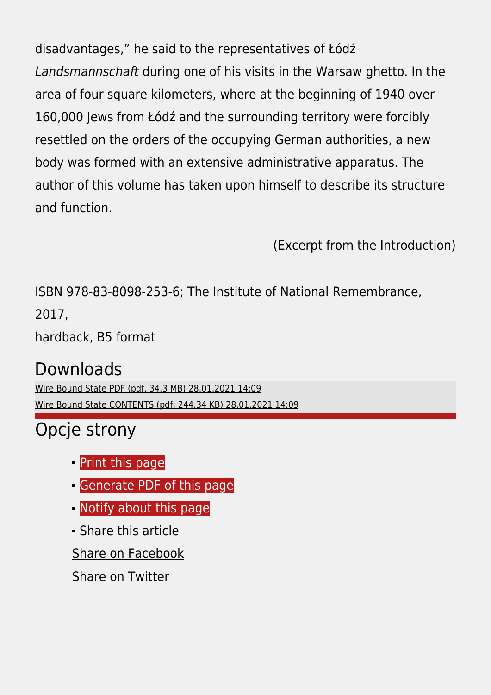disadvantages," he said to the representatives of Łódź Landsmannschaft during one of his visits in the Warsaw ghetto. In the area of four square kilometers, where at the beginning of 1940 over 160,000 Jews from Łódź and the surrounding territory were forcibly resettled on the orders of the occupying German authorities, a new body was formed with an extensive administrative apparatus. The author of this volume has taken upon himself to describe its structure and function.

(Excerpt from the Introduction)

ISBN 978-83-8098-253-6; The Institute of National Remembrance, 2017,

hardback, B5 format

## Downloads

[Wire Bound State PDF \(pdf, 34.3 MB\) 28.01.2021 14:09](https://ipn.gov.pl/download/2/31277/WireBoundStatePDF.pdf) [Wire Bound State CONTENTS \(pdf, 244.34 KB\) 28.01.2021 14:09](https://ipn.gov.pl/download/2/31280/WireBoundStateCONTENTS.pdf)

## Opcje strony

- **[Print](https://ipn.gov.pl/javascript:winopen() [this page](https://ipn.gov.pl/javascript:winopen()**
- [Generate PDF](https://ipn.gov.pl/en/digital-resources/publications/6976,Wire-Bound-State-Structure-and-Functions-of-the-Jewish-Administration-of-the-Lod.pdf) [of this page](https://ipn.gov.pl/en/digital-resources/publications/6976,Wire-Bound-State-Structure-and-Functions-of-the-Jewish-Administration-of-the-Lod.pdf)
- **[Notify](https://ipn.gov.pl/en/powiadom/6976,dok.html?poz=digital-resources/publications&drukuj=window) [about this page](https://ipn.gov.pl/en/powiadom/6976,dok.html?poz=digital-resources/publications&drukuj=window)**
- Share this article

[Share](https://www.facebook.com/sharer/sharer.php?u=https://ipn.gov.pl/en/digital-resources/publications/6976,Wire-Bound-State-Structure-and-Functions-of-the-Jewish-Administration-of-the-Lod.html) [on Facebook](https://www.facebook.com/sharer/sharer.php?u=https://ipn.gov.pl/en/digital-resources/publications/6976,Wire-Bound-State-Structure-and-Functions-of-the-Jewish-Administration-of-the-Lod.html)

[Share](https://twitter.com/share) [on Twitter](https://twitter.com/share)